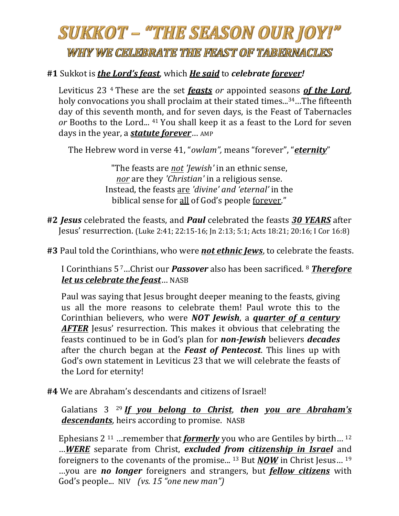# SUKKOT – "THE SEASON OUR JOY!"

### WHY WE CELEBRATE THE FEAST OF TABERNACLES

#### #1 Sukkot is *the Lord's feast*, which *He said* to *celebrate forever!*

Leviticus 23<sup>4</sup> These are the set *feasts* or appointed seasons **of the Lord**, holy convocations you shall proclaim at their stated times...<sup>34</sup>...The fifteenth day of this seventh month, and for seven days, is the Feast of Tabernacles *or* Booths to the Lord... <sup>41</sup> You shall keep it as a feast to the Lord for seven days in the year, a *statute forever*... AMP

The Hebrew word in verse 41, "*owlam"*, means "forever", "*eternity*"

"The feasts are *not 'Jewish'* in an ethnic sense, *nor* are they *'Christian'* in a religious sense. Instead, the feasts are 'divine' and 'eternal' in the biblical sense for all of God's people forever."

- #2 *Jesus* celebrated the feasts, and *Paul* celebrated the feasts 30 *YEARS* after **Jesus' resurrection.** (Luke 2:41; 22:15-16; Jn 2:13; 5:1; Acts 18:21; 20:16; I Cor 16:8)
- **#3** Paul told the Corinthians, who were **not ethnic Jews**, to celebrate the feasts.

I Corinthians 5<sup>7</sup>...Christ our **Passover** also has been sacrificed. <sup>8</sup> **Therefore** *let us celebrate the feast*… NASB

Paul was saying that Jesus brought deeper meaning to the feasts, giving us all the more reasons to celebrate them! Paul wrote this to the Corinthian believers, who were *NOT Jewish*, a *guarter of a century* AFTER Jesus' resurrection. This makes it obvious that celebrating the feasts continued to be in God's plan for *non-Jewish* believers *decades* after the church began at the *Feast of Pentecost*. This lines up with God's own statement in Leviticus 23 that we will celebrate the feasts of the Lord for eternity!

**#4** We are Abraham's descendants and citizens of Israel!

Galatians 3 <sup>29</sup> If you belong to Christ, then you are Abraham's *descendants*, heirs according to promise. NASB

Ephesians  $2^{11}$  …remember that *formerly* you who are Gentiles by birth...<sup>12</sup> …*WERE* separate from Christ, *excluded from citizenship in Israel* and foreigners to the covenants of the promise... <sup>13</sup> But *NOW* in Christ Jesus... <sup>19</sup> …you are *no longer* foreigners and strangers, but *fellow citizens* with God's people... NIV (vs. 15 "one new man")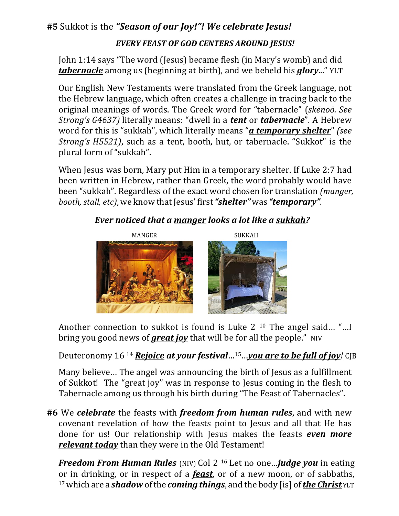#### #5 Sukkot is the "Season of our Joy!"! We celebrate Jesus!

#### *EVERY FEAST OF GOD CENTERS AROUND JESUS!*

John 1:14 says "The word (Jesus) became flesh (in Mary's womb) and did *tabernacle* among us (beginning at birth), and we beheld his *glory*..." YLT

Our English New Testaments were translated from the Greek language, not the Hebrew language, which often creates a challenge in tracing back to the original meanings of words. The Greek word for "tabernacle" (*skēnoō. See Strong's* G4637) literally means: "dwell in a **tent** or **tabernacle**". A Hebrew word for this is "sukkah", which literally means "*a temporary shelter*" (see *Strong's H5521)*, such as a tent, booth, hut, or tabernacle. "Sukkot" is the plural form of "sukkah".

When Jesus was born, Mary put Him in a temporary shelter. If Luke 2:7 had been written in Hebrew, rather than Greek, the word probably would have been "sukkah". Regardless of the exact word chosen for translation *(manger, booth, stall, etc), we know that Jesus' first "shelter"* was "*temporary*".

#### *Ever noticed that a manger looks a lot like a sukkah?*



Another connection to sukkot is found is Luke  $2^{10}$  The angel said... "... I bring you good news of **great joy** that will be for all the people." NIV

Deuteronomy 16<sup>14</sup> *Rejoice at your festival* ...<sup>15</sup> ... *you are to be full of joy!* CJB

Many believe... The angel was announcing the birth of Jesus as a fulfillment of Sukkot! The "great joy" was in response to Jesus coming in the flesh to Tabernacle among us through his birth during "The Feast of Tabernacles".

**#6** We celebrate the feasts with *freedom from human rules*, and with new covenant revelation of how the feasts point to Jesus and all that He has done for us! Our relationship with Jesus makes the feasts *even more relevant today* than they were in the Old Testament!

*Freedom From Human Rules* (NIV) Col 2<sup>16</sup> Let no one...*judge you* in eating or in drinking, or in respect of a *feast*, or of a new moon, or of sabbaths, 17which are a *shadow* ofthe *coming things*, and the body [is] of*the Christ* YLT